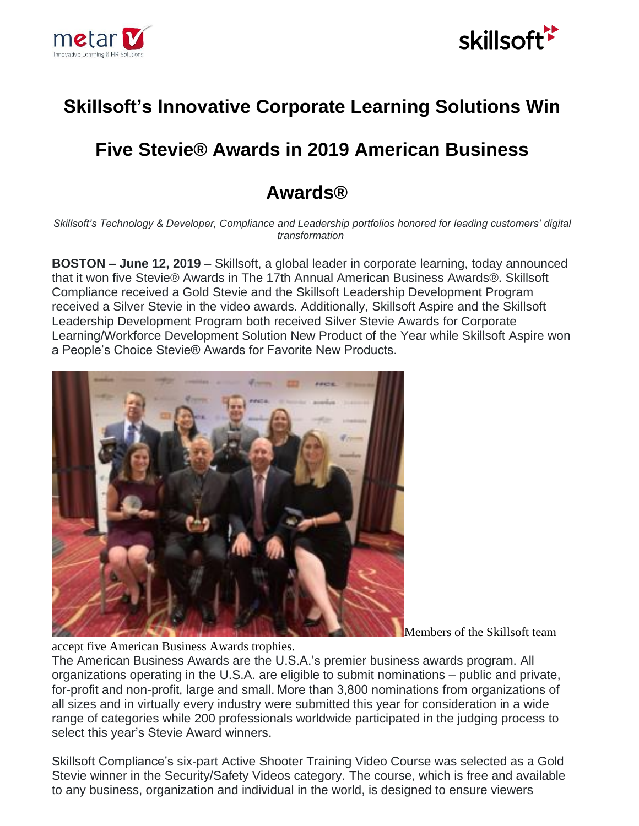



## **Skillsoft's Innovative Corporate Learning Solutions Win**

## **Five Stevie® Awards in 2019 American Business**

## **Awards®**

*Skillsoft's Technology & Developer, Compliance and Leadership portfolios honored for leading customers' digital transformation*

**BOSTON – June 12, 2019** – [Skillsoft,](https://www.skillsoft.com/) a global leader in corporate learning, today announced that it won five Stevie® Awards in The 17th Annual American Business Awards®. Skillsoft Compliance received a Gold Stevie and the Skillsoft Leadership Development Program received a Silver Stevie in the video awards. Additionally, Skillsoft Aspire and the Skillsoft Leadership Development Program both received Silver Stevie Awards for Corporate Learning/Workforce Development Solution New Product of the Year while Skillsoft Aspire won a People's Choice Stevie® Awards for Favorite New Products.



Members of the Skillsoft team

accept five American Business Awards trophies.

The American Business Awards are the U.S.A.'s premier business awards program. All organizations operating in the U.S.A. are eligible to submit nominations – public and private, for-profit and non-profit, large and small. More than 3,800 nominations from organizations of all sizes and in virtually every industry were submitted this year for consideration in a wide range of categories while 200 professionals worldwide participated in the judging process to select this year's Stevie Award winners.

Skillsoft Compliance's six-part [Active Shooter Training Video Course](https://www.skillsoft.com/active-shooter-training/) was selected as a Gold Stevie winner in the Security/Safety Videos category. The course, which is free and available to any business, organization and individual in the world, is designed to ensure viewers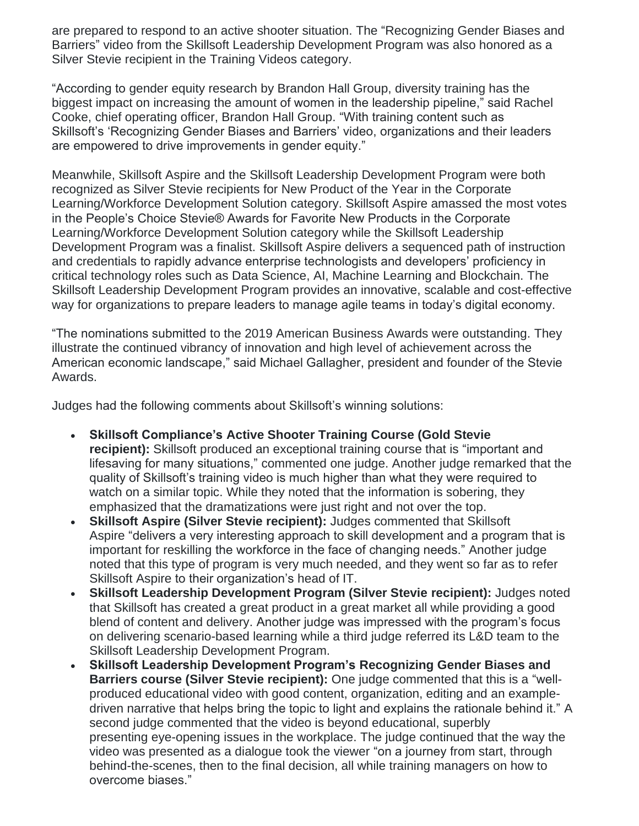are prepared to respond to an active shooter situation. The ["Recognizing Gender Biases and](https://www.youtube.com/watch?v=hZcH3_C90vI&feature=youtu.be)  [Barriers"](https://www.youtube.com/watch?v=hZcH3_C90vI&feature=youtu.be) video from the [Skillsoft Leadership Development Program](https://www.skillsoft.com/content-solutions/leadership-development/leadership-development-at-all-levels/) was also honored as a Silver Stevie recipient in the Training Videos category.

"According to gender equity research by Brandon Hall Group, diversity training has the biggest impact on increasing the amount of women in the leadership pipeline," said Rachel Cooke, chief operating officer, Brandon Hall Group. "With training content such as Skillsoft's 'Recognizing Gender Biases and Barriers' video, organizations and their leaders are empowered to drive improvements in gender equity."

Meanwhile, [Skillsoft Aspire](https://www.skillsoft.com/content-solutions/technology-developer-and-certification-solutions/aspire-learning-journeys/) and the Skillsoft Leadership Development Program were both recognized as Silver Stevie recipients for New Product of the Year in the Corporate Learning/Workforce Development Solution category. Skillsoft Aspire amassed the most votes in the People's Choice Stevie® Awards for Favorite New Products in the Corporate Learning/Workforce Development Solution category while the Skillsoft Leadership Development Program was a finalist. Skillsoft Aspire delivers a sequenced path of instruction and credentials to rapidly advance enterprise technologists and developers' proficiency in critical technology roles such as Data Science, AI, Machine Learning and Blockchain. The Skillsoft Leadership Development Program provides an innovative, scalable and cost-effective way for organizations to prepare leaders to manage agile teams in today's digital economy.

"The nominations submitted to the 2019 American Business Awards were outstanding. They illustrate the continued vibrancy of innovation and high level of achievement across the American economic landscape," said Michael Gallagher, president and founder of the Stevie Awards.

Judges had the following comments about Skillsoft's winning solutions:

- **Skillsoft Compliance's Active Shooter Training Course (Gold Stevie recipient):** Skillsoft produced an exceptional training course that is "important and lifesaving for many situations," commented one judge. Another judge remarked that the quality of Skillsoft's training video is much higher than what they were required to watch on a similar topic. While they noted that the information is sobering, they emphasized that the dramatizations were just right and not over the top.
- **Skillsoft Aspire (Silver Stevie recipient):** Judges commented that Skillsoft Aspire "delivers a very interesting approach to skill development and a program that is important for reskilling the workforce in the face of changing needs." Another judge noted that this type of program is very much needed, and they went so far as to refer Skillsoft Aspire to their organization's head of IT.
- **Skillsoft Leadership Development Program (Silver Stevie recipient):** Judges noted that Skillsoft has created a great product in a great market all while providing a good blend of content and delivery. Another judge was impressed with the program's focus on delivering scenario-based learning while a third judge referred its L&D team to the Skillsoft Leadership Development Program.
- **Skillsoft Leadership Development Program's Recognizing Gender Biases and Barriers course (Silver Stevie recipient):** One judge commented that this is a "wellproduced educational video with good content, organization, editing and an exampledriven narrative that helps bring the topic to light and explains the rationale behind it." A second judge commented that the video is beyond educational, superbly presenting eye-opening issues in the workplace. The judge continued that the way the video was presented as a dialogue took the viewer "on a journey from start, through behind-the-scenes, then to the final decision, all while training managers on how to overcome biases."